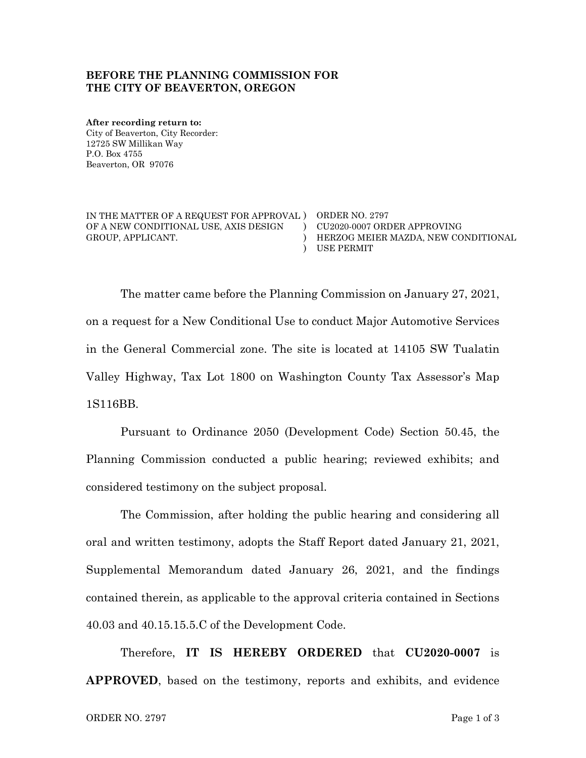### **BEFORE THE PLANNING COMMISSION FOR THE CITY OF BEAVERTON, OREGON**

**After recording return to:** City of Beaverton, City Recorder: 12725 SW Millikan Way P.O. Box 4755 Beaverton, OR 97076

IN THE MATTER OF A REQUEST FOR APPROVAL ) ORDER NO. 2797 OF A NEW CONDITIONAL USE, AXIS DESIGN GROUP, APPLICANT. )

) CU2020-0007 ORDER APPROVING ) USE PERMIT HERZOG MEIER MAZDA, NEW CONDITIONAL

The matter came before the Planning Commission on January 27, 2021, on a request for a New Conditional Use to conduct Major Automotive Services in the General Commercial zone. The site is located at 14105 SW Tualatin Valley Highway, Tax Lot 1800 on Washington County Tax Assessor's Map 1S116BB.

Pursuant to Ordinance 2050 (Development Code) Section 50.45, the Planning Commission conducted a public hearing; reviewed exhibits; and considered testimony on the subject proposal.

The Commission, after holding the public hearing and considering all oral and written testimony, adopts the Staff Report dated January 21, 2021, Supplemental Memorandum dated January 26, 2021, and the findings contained therein, as applicable to the approval criteria contained in Sections 40.03 and 40.15.15.5.C of the Development Code.

Therefore, **IT IS HEREBY ORDERED** that **CU2020-0007** is **APPROVED**, based on the testimony, reports and exhibits, and evidence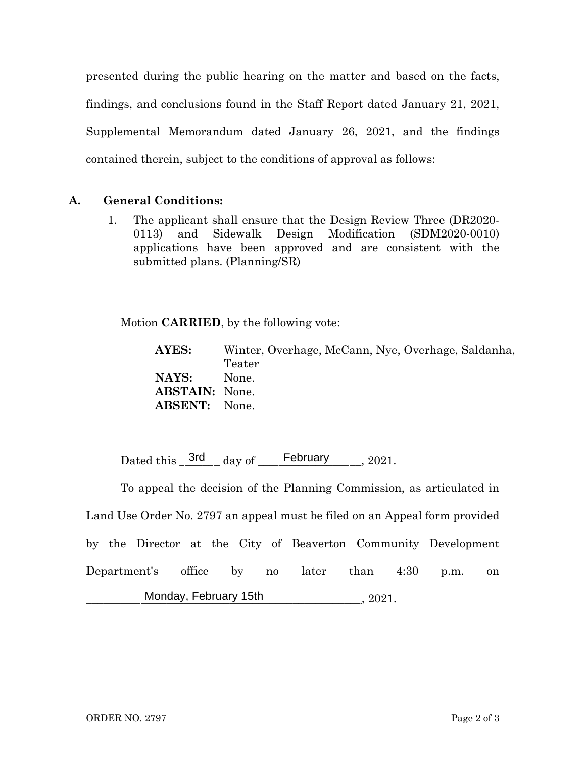presented during the public hearing on the matter and based on the facts, findings, and conclusions found in the Staff Report dated January 21, 2021, Supplemental Memorandum dated January 26, 2021, and the findings contained therein, subject to the conditions of approval as follows:

## **A. General Conditions:**

1. The applicant shall ensure that the Design Review Three (DR2020- 0113) and Sidewalk Design Modification (SDM2020-0010) applications have been approved and are consistent with the submitted plans. (Planning/SR)

Motion **CARRIED**, by the following vote:

**AYES:** Winter, Overhage, McCann, Nye, Overhage, Saldanha, Teater **NAYS:** None. **ABSTAIN:** None. **ABSENT:** None.

Dated this  $\frac{3rd}{1}$  day of  $\frac{2021}{1}$ 

To appeal the decision of the Planning Commission, as articulated in Land Use Order No. 2797 an appeal must be filed on an Appeal form provided by the Director at the City of Beaverton Community Development Department's office by no later than 4:30 p.m. on \_\_\_\_\_\_\_\_\_\_\_\_\_\_\_\_\_\_\_\_\_\_\_\_\_\_\_\_\_\_\_\_\_\_\_\_\_\_\_\_\_\_\_\_\_\_\_\_, 2021. Monday, February 15th